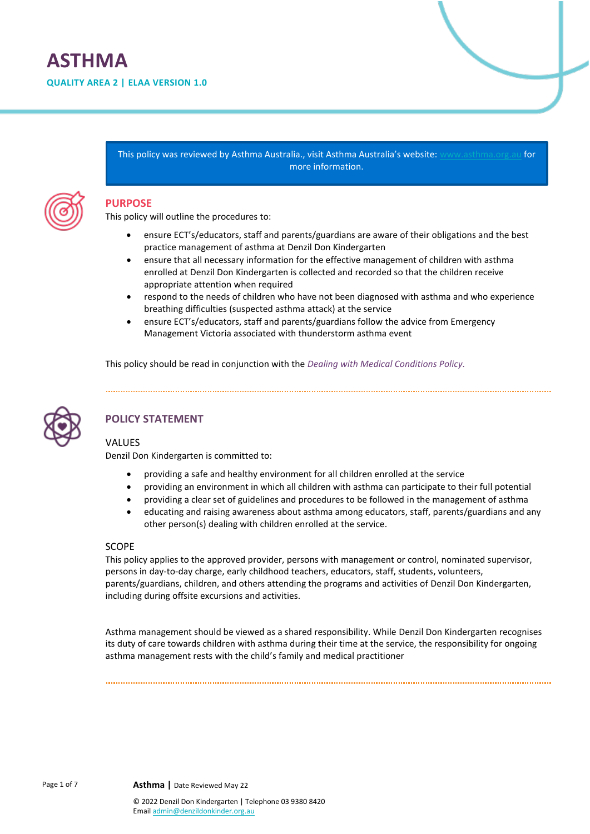# **ASTHMA**

**QUALITY AREA 2 | ELAA VERSION 1.0**

This policy was reviewed by Asthma Australia., visit Asthma Australia's website: [www.asthma.org.au](https://asthma.org.au/) for more information.



### **PURPOSE**

This policy will outline the procedures to:

- ensure ECT's/educators, staff and parents/guardians are aware of their obligations and the best practice management of asthma at Denzil Don Kindergarten
- ensure that all necessary information for the effective management of children with asthma enrolled at Denzil Don Kindergarten is collected and recorded so that the children receive appropriate attention when required
- respond to the needs of children who have not been diagnosed with asthma and who experience breathing difficulties (suspected asthma attack) at the service
- ensure ECT's/educators, staff and parents/guardians follow the advice from Emergency Management Victoria associated with thunderstorm asthma event

This policy should be read in conjunction with the *Dealing with Medical Conditions Policy.*



# **POLICY STATEMENT**

### **VALUES**

Denzil Don Kindergarten is committed to:

- providing a safe and healthy environment for all children enrolled at the service
- providing an environment in which all children with asthma can participate to their full potential
- providing a clear set of guidelines and procedures to be followed in the management of asthma
- educating and raising awareness about asthma among educators, staff, parents/guardians and any other person(s) dealing with children enrolled at the service.

### SCOPE

This policy applies to the approved provider, persons with management or control, nominated supervisor, persons in day-to-day charge, early childhood teachers, educators, staff, students, volunteers, parents/guardians, children, and others attending the programs and activities of Denzil Don Kindergarten, including during offsite excursions and activities.

Asthma management should be viewed as a shared responsibility. While Denzil Don Kindergarten recognises its duty of care towards children with asthma during their time at the service, the responsibility for ongoing asthma management rests with the child's family and medical practitioner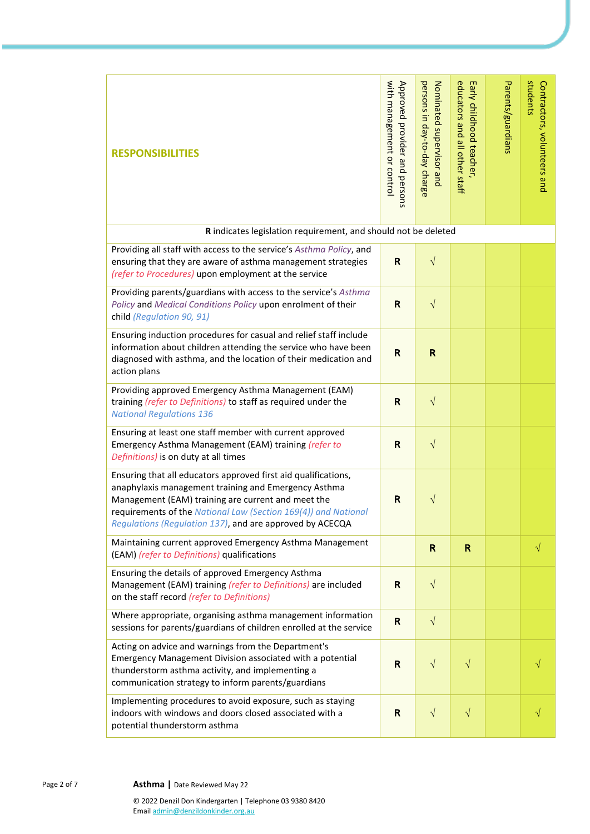| <b>RESPONSIBILITIES</b>                                                                                                                                                                                                                                                                                    | with management or control<br>Approved provider and persons | persons in day-to-day charge<br>Nominated supervisor and | educators and all other staff<br>Early childhood teacher, | Parents/guardians | students<br>Contractors, volunteers and |
|------------------------------------------------------------------------------------------------------------------------------------------------------------------------------------------------------------------------------------------------------------------------------------------------------------|-------------------------------------------------------------|----------------------------------------------------------|-----------------------------------------------------------|-------------------|-----------------------------------------|
| R indicates legislation requirement, and should not be deleted                                                                                                                                                                                                                                             |                                                             |                                                          |                                                           |                   |                                         |
| Providing all staff with access to the service's Asthma Policy, and<br>ensuring that they are aware of asthma management strategies<br>(refer to Procedures) upon employment at the service                                                                                                                | $\mathbf R$                                                 | $\sqrt{ }$                                               |                                                           |                   |                                         |
| Providing parents/guardians with access to the service's Asthma<br>Policy and Medical Conditions Policy upon enrolment of their<br>child (Regulation 90, 91)                                                                                                                                               | $\mathsf{R}$                                                | $\sqrt{}$                                                |                                                           |                   |                                         |
| Ensuring induction procedures for casual and relief staff include<br>information about children attending the service who have been<br>diagnosed with asthma, and the location of their medication and<br>action plans                                                                                     | $\mathbf R$                                                 | $\mathsf{R}$                                             |                                                           |                   |                                         |
| Providing approved Emergency Asthma Management (EAM)<br>training (refer to Definitions) to staff as required under the<br><b>National Regulations 136</b>                                                                                                                                                  | $\mathsf{R}$                                                | $\sqrt{ }$                                               |                                                           |                   |                                         |
| Ensuring at least one staff member with current approved<br>Emergency Asthma Management (EAM) training (refer to<br>Definitions) is on duty at all times                                                                                                                                                   | R                                                           | $\sqrt{}$                                                |                                                           |                   |                                         |
| Ensuring that all educators approved first aid qualifications,<br>anaphylaxis management training and Emergency Asthma<br>Management (EAM) training are current and meet the<br>requirements of the National Law (Section 169(4)) and National<br>Regulations (Regulation 137), and are approved by ACECQA | $\mathsf{R}$                                                | V                                                        |                                                           |                   |                                         |
| Maintaining current approved Emergency Asthma Management<br>(EAM) (refer to Definitions) qualifications                                                                                                                                                                                                    |                                                             | $\mathsf{R}$                                             | $\mathsf{R}$                                              |                   | $\sqrt{}$                               |
| Ensuring the details of approved Emergency Asthma<br>Management (EAM) training (refer to Definitions) are included<br>on the staff record (refer to Definitions)                                                                                                                                           | $\mathbf R$                                                 | $\sqrt{}$                                                |                                                           |                   |                                         |
| Where appropriate, organising asthma management information<br>sessions for parents/guardians of children enrolled at the service                                                                                                                                                                          | $\mathbf R$                                                 | $\sqrt{ }$                                               |                                                           |                   |                                         |
| Acting on advice and warnings from the Department's<br>Emergency Management Division associated with a potential<br>thunderstorm asthma activity, and implementing a<br>communication strategy to inform parents/guardians                                                                                 | $\mathsf{R}$                                                | $\sqrt{}$                                                | $\sqrt{}$                                                 |                   |                                         |
| Implementing procedures to avoid exposure, such as staying<br>indoors with windows and doors closed associated with a<br>potential thunderstorm asthma                                                                                                                                                     | $\mathbf R$                                                 | $\sqrt{}$                                                | $\sqrt{}$                                                 |                   |                                         |

Page 2 of 7 **Asthma** | Date Reviewed May 22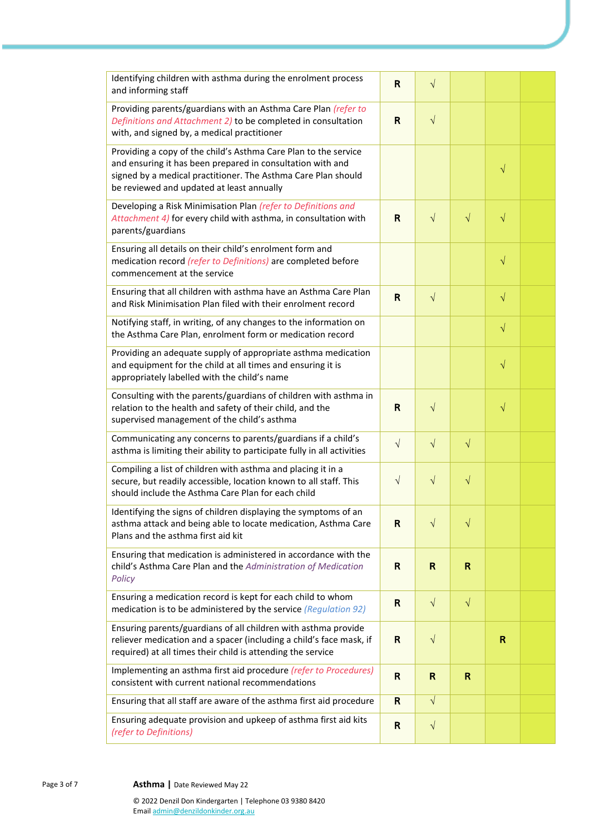| Identifying children with asthma during the enrolment process<br>and informing staff                                                                                                                                                        | R            | $\sqrt{}$    |              |           |  |
|---------------------------------------------------------------------------------------------------------------------------------------------------------------------------------------------------------------------------------------------|--------------|--------------|--------------|-----------|--|
| Providing parents/guardians with an Asthma Care Plan (refer to<br>Definitions and Attachment 2) to be completed in consultation<br>with, and signed by, a medical practitioner                                                              | $\mathsf{R}$ | $\sqrt{ }$   |              |           |  |
| Providing a copy of the child's Asthma Care Plan to the service<br>and ensuring it has been prepared in consultation with and<br>signed by a medical practitioner. The Asthma Care Plan should<br>be reviewed and updated at least annually |              |              |              | $\sqrt{}$ |  |
| Developing a Risk Minimisation Plan (refer to Definitions and<br>Attachment 4) for every child with asthma, in consultation with<br>parents/guardians                                                                                       | R            | $\sqrt{ }$   | $\sqrt{}$    | $\sqrt{}$ |  |
| Ensuring all details on their child's enrolment form and<br>medication record (refer to Definitions) are completed before<br>commencement at the service                                                                                    |              |              |              | $\sqrt{}$ |  |
| Ensuring that all children with asthma have an Asthma Care Plan<br>and Risk Minimisation Plan filed with their enrolment record                                                                                                             | R            | $\sqrt{ }$   |              | $\sqrt{}$ |  |
| Notifying staff, in writing, of any changes to the information on<br>the Asthma Care Plan, enrolment form or medication record                                                                                                              |              |              |              | $\sqrt{}$ |  |
| Providing an adequate supply of appropriate asthma medication<br>and equipment for the child at all times and ensuring it is<br>appropriately labelled with the child's name                                                                |              |              |              | $\sqrt{}$ |  |
| Consulting with the parents/guardians of children with asthma in<br>relation to the health and safety of their child, and the<br>supervised management of the child's asthma                                                                | R            | $\sqrt{ }$   |              | $\sqrt{}$ |  |
| Communicating any concerns to parents/guardians if a child's<br>asthma is limiting their ability to participate fully in all activities                                                                                                     | $\sqrt{}$    | $\sqrt{ }$   | $\sqrt{}$    |           |  |
| Compiling a list of children with asthma and placing it in a<br>secure, but readily accessible, location known to all staff. This<br>should include the Asthma Care Plan for each child                                                     | $\sqrt{}$    | $\sqrt{ }$   | $\sqrt{}$    |           |  |
| Identifying the signs of children displaying the symptoms of an<br>asthma attack and being able to locate medication, Asthma Care<br>Plans and the asthma first aid kit                                                                     | R            | $\sqrt{}$    | $\sqrt{}$    |           |  |
| Ensuring that medication is administered in accordance with the<br>child's Asthma Care Plan and the Administration of Medication<br>Policy                                                                                                  | R            | R            | $\mathbb{R}$ |           |  |
| Ensuring a medication record is kept for each child to whom<br>medication is to be administered by the service (Regulation 92)                                                                                                              | R            | $\sqrt{ }$   | $\sqrt{}$    |           |  |
| Ensuring parents/guardians of all children with asthma provide<br>reliever medication and a spacer (including a child's face mask, if<br>required) at all times their child is attending the service                                        | $\mathsf{R}$ | $\sqrt{ }$   |              | R         |  |
| Implementing an asthma first aid procedure (refer to Procedures)<br>consistent with current national recommendations                                                                                                                        | $\mathsf{R}$ | $\mathsf{R}$ | $\mathbf R$  |           |  |
| Ensuring that all staff are aware of the asthma first aid procedure                                                                                                                                                                         | R            | $\sqrt{ }$   |              |           |  |
| Ensuring adequate provision and upkeep of asthma first aid kits<br>(refer to Definitions)                                                                                                                                                   | $\mathsf{R}$ | $\sqrt{}$    |              |           |  |

Page 3 of 7 **Asthma** | Date Reviewed May 22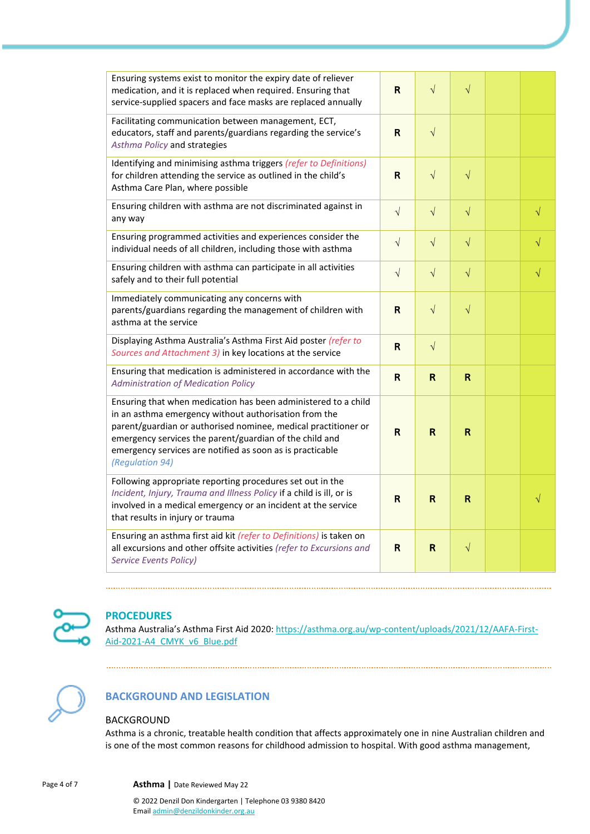| Ensuring systems exist to monitor the expiry date of reliever<br>medication, and it is replaced when required. Ensuring that<br>service-supplied spacers and face masks are replaced annually                                                                                                                                        | R            | $\sqrt{}$    | $\sqrt{}$    |           |
|--------------------------------------------------------------------------------------------------------------------------------------------------------------------------------------------------------------------------------------------------------------------------------------------------------------------------------------|--------------|--------------|--------------|-----------|
| Facilitating communication between management, ECT,<br>educators, staff and parents/guardians regarding the service's<br>Asthma Policy and strategies                                                                                                                                                                                | $\mathsf{R}$ | $\sqrt{ }$   |              |           |
| Identifying and minimising asthma triggers (refer to Definitions)<br>for children attending the service as outlined in the child's<br>Asthma Care Plan, where possible                                                                                                                                                               | $\mathsf R$  | $\sqrt{}$    | $\sqrt{}$    |           |
| Ensuring children with asthma are not discriminated against in<br>any way                                                                                                                                                                                                                                                            | $\sqrt{ }$   | $\sqrt{}$    | $\sqrt{}$    | $\sqrt{}$ |
| Ensuring programmed activities and experiences consider the<br>individual needs of all children, including those with asthma                                                                                                                                                                                                         | $\sqrt{}$    | $\sqrt{}$    | $\sqrt{}$    | $\sqrt{}$ |
| Ensuring children with asthma can participate in all activities<br>safely and to their full potential                                                                                                                                                                                                                                | $\sqrt{}$    | $\sqrt{}$    | $\sqrt{}$    | $\sqrt{}$ |
| Immediately communicating any concerns with<br>parents/guardians regarding the management of children with<br>asthma at the service                                                                                                                                                                                                  | $\mathsf{R}$ | $\sqrt{}$    | $\sqrt{}$    |           |
| Displaying Asthma Australia's Asthma First Aid poster (refer to<br>Sources and Attachment 3) in key locations at the service                                                                                                                                                                                                         | $\mathsf{R}$ | $\sqrt{ }$   |              |           |
| Ensuring that medication is administered in accordance with the<br><b>Administration of Medication Policy</b>                                                                                                                                                                                                                        | R            | $\mathsf{R}$ | $\mathbb{R}$ |           |
| Ensuring that when medication has been administered to a child<br>in an asthma emergency without authorisation from the<br>parent/guardian or authorised nominee, medical practitioner or<br>emergency services the parent/guardian of the child and<br>emergency services are notified as soon as is practicable<br>(Regulation 94) | R.           | $\mathsf{R}$ | $\mathsf{R}$ |           |
| Following appropriate reporting procedures set out in the<br>Incident, Injury, Trauma and Illness Policy if a child is ill, or is<br>involved in a medical emergency or an incident at the service<br>that results in injury or trauma                                                                                               | R            | $\mathsf{R}$ | $\mathsf{R}$ | $\sqrt{}$ |
| Ensuring an asthma first aid kit (refer to Definitions) is taken on<br>all excursions and other offsite activities (refer to Excursions and<br><b>Service Events Policy)</b>                                                                                                                                                         | R            | $\mathsf R$  | $\sqrt{}$    |           |



# **PROCEDURES**

Asthma Australia's Asthma First Aid 2020[: https://asthma.org.au/wp-content/uploads/2021/12/AAFA-First-](https://asthma.org.au/wp-content/uploads/2021/12/AAFA-First-Aid-2021-A4_CMYK_v6_Blue.pdf)[Aid-2021-A4\\_CMYK\\_v6\\_Blue.pdf](https://asthma.org.au/wp-content/uploads/2021/12/AAFA-First-Aid-2021-A4_CMYK_v6_Blue.pdf)



# **BACKGROUND AND LEGISLATION**

### BACKGROUND

Asthma is a chronic, treatable health condition that affects approximately one in nine Australian children and is one of the most common reasons for childhood admission to hospital. With good asthma management,

Page 4 of 7 **Asthma |** Date Reviewed May 22

© 2022 Denzil Don Kindergarten | Telephone 03 9380 8420 Emai[l admin@denzildonkinder.org.au](mailto:admin@denzildonkinder.org.au)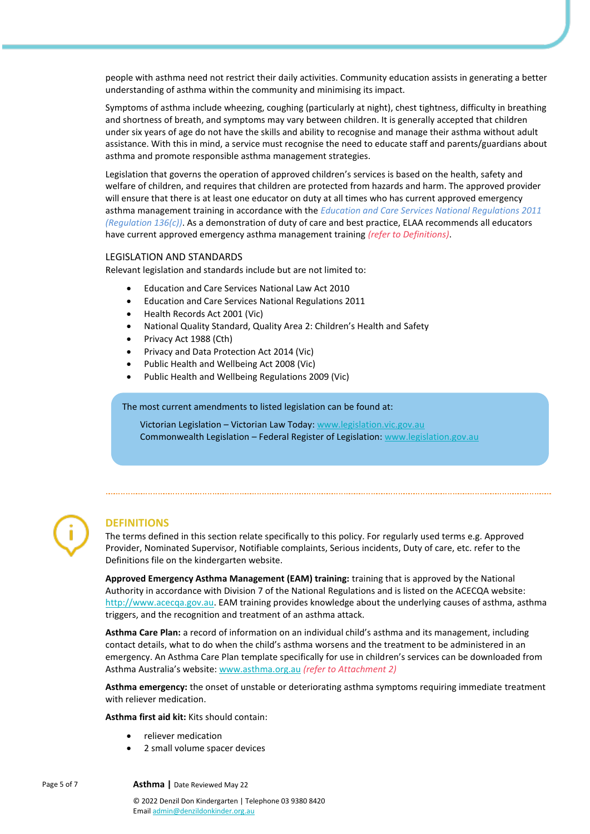people with asthma need not restrict their daily activities. Community education assists in generating a better understanding of asthma within the community and minimising its impact.

Symptoms of asthma include wheezing, coughing (particularly at night), chest tightness, difficulty in breathing and shortness of breath, and symptoms may vary between children. It is generally accepted that children under six years of age do not have the skills and ability to recognise and manage their asthma without adult assistance. With this in mind, a service must recognise the need to educate staff and parents/guardians about asthma and promote responsible asthma management strategies.

Legislation that governs the operation of approved children's services is based on the health, safety and welfare of children, and requires that children are protected from hazards and harm. The approved provider will ensure that there is at least one educator on duty at all times who has current approved emergency asthma management training in accordance with the *Education and Care Services National Regulations 2011 (Regulation 136(c))*. As a demonstration of duty of care and best practice, ELAA recommends all educators have current approved emergency asthma management training *(refer to Definitions)*.

### LEGISLATION AND STANDARDS

Relevant legislation and standards include but are not limited to:

- Education and Care Services National Law Act 2010
- Education and Care Services National Regulations 2011
- Health Records Act 2001 (Vic)
- National Quality Standard, Quality Area 2: Children's Health and Safety
- Privacy Act 1988 (Cth)
- Privacy and Data Protection Act 2014 (Vic)
- Public Health and Wellbeing Act 2008 (Vic)
- Public Health and Wellbeing Regulations 2009 (Vic)

The most current amendments to listed legislation can be found at:

Victorian Legislation – Victorian Law Today: [www.legislation.vic.gov.au](http://www.legislation.vic.gov.au/) Commonwealth Legislation – Federal Register of Legislation: [www.legislation.gov.au](http://www.legislation.gov.au/)

### **DEFINITIONS**

The terms defined in this section relate specifically to this policy. For regularly used terms e.g. Approved Provider, Nominated Supervisor, Notifiable complaints, Serious incidents, Duty of care, etc. refer to the Definitions file on the kindergarten website.

**Approved Emergency Asthma Management (EAM) training:** training that is approved by the National Authority in accordance with Division 7 of the National Regulations and is listed on the ACECQA website: [http://www.acecqa.gov.au.](http://www.acecqa.gov.au/) EAM training provides knowledge about the underlying causes of asthma, asthma triggers, and the recognition and treatment of an asthma attack.

**Asthma Care Plan:** a record of information on an individual child's asthma and its management, including contact details, what to do when the child's asthma worsens and the treatment to be administered in an emergency. An Asthma Care Plan template specifically for use in children's services can be downloaded from Asthma Australia's website: [www.asthma.org.au](http://www.asthma.org.au/) *(refer to Attachment 2)*

**Asthma emergency:** the onset of unstable or deteriorating asthma symptoms requiring immediate treatment with reliever medication.

**Asthma first aid kit:** Kits should contain:

- reliever medication
- 2 small volume spacer devices

Page 5 of 7 **Asthma |** Date Reviewed May 22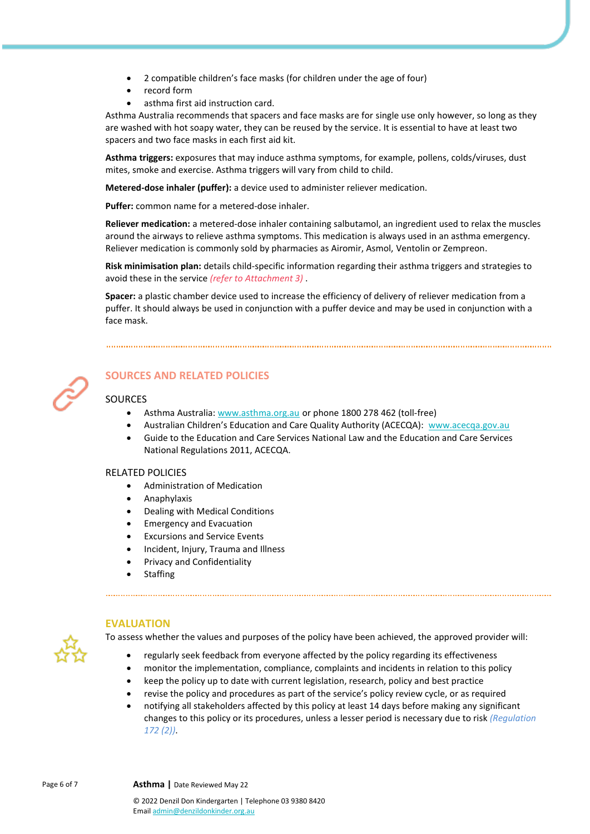- 2 compatible children's face masks (for children under the age of four)
- record form
- asthma first aid instruction card.

Asthma Australia recommends that spacers and face masks are for single use only however, so long as they are washed with hot soapy water, they can be reused by the service. It is essential to have at least two spacers and two face masks in each first aid kit.

**Asthma triggers:** exposures that may induce asthma symptoms, for example, pollens, colds/viruses, dust mites, smoke and exercise. Asthma triggers will vary from child to child.

**Metered-dose inhaler (puffer):** a device used to administer reliever medication.

**Puffer:** common name for a metered-dose inhaler.

**Reliever medication:** a metered-dose inhaler containing salbutamol, an ingredient used to relax the muscles around the airways to relieve asthma symptoms. This medication is always used in an asthma emergency. Reliever medication is commonly sold by pharmacies as Airomir, Asmol, Ventolin or Zempreon.

**Risk minimisation plan:** details child-specific information regarding their asthma triggers and strategies to avoid these in the service *(refer to Attachment 3)* .

**Spacer:** a plastic chamber device used to increase the efficiency of delivery of reliever medication from a puffer. It should always be used in conjunction with a puffer device and may be used in conjunction with a face mask.



## **SOURCES AND RELATED POLICIES**

### **SOURCES**

- Asthma Australia[: www.asthma.org.au](https://asthma.org.au/) or phone 1800 278 462 (toll-free)
- Australian Children's Education and Care Quality Authority (ACECQA): [www.acecqa.gov.au](http://www.acecqa.gov.au/)
- Guide to the Education and Care Services National Law and the Education and Care Services National Regulations 2011, ACECQA.

### RELATED POLICIES

- Administration of Medication
- Anaphylaxis
- Dealing with Medical Conditions
- Emergency and Evacuation
- Excursions and Service Events
- Incident, Injury, Trauma and Illness
- Privacy and Confidentiality
- **Staffing**



### **EVALUATION**

To assess whether the values and purposes of the policy have been achieved, the approved provider will:

- regularly seek feedback from everyone affected by the policy regarding its effectiveness
- monitor the implementation, compliance, complaints and incidents in relation to this policy
- keep the policy up to date with current legislation, research, policy and best practice
- revise the policy and procedures as part of the service's policy review cycle, or as required
- notifying all stakeholders affected by this policy at least 14 days before making any significant changes to this policy or its procedures, unless a lesser period is necessary due to risk *(Regulation 172 (2))*.